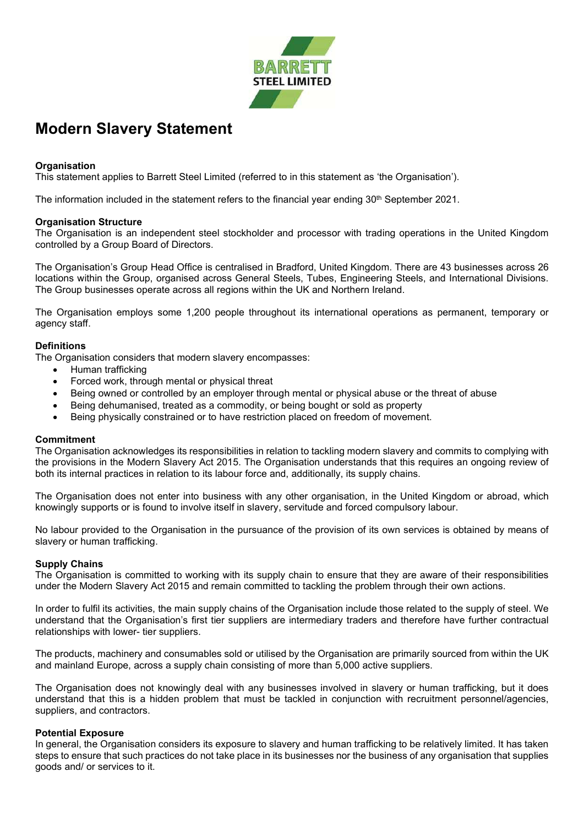

# Modern Slavery Statement

## **Organisation**

This statement applies to Barrett Steel Limited (referred to in this statement as 'the Organisation').

The information included in the statement refers to the financial year ending  $30<sup>th</sup>$  September 2021.

#### Organisation Structure

The Organisation is an independent steel stockholder and processor with trading operations in the United Kingdom controlled by a Group Board of Directors.

The Organisation's Group Head Office is centralised in Bradford, United Kingdom. There are 43 businesses across 26 locations within the Group, organised across General Steels, Tubes, Engineering Steels, and International Divisions. The Group businesses operate across all regions within the UK and Northern Ireland.

The Organisation employs some 1,200 people throughout its international operations as permanent, temporary or agency staff.

### **Definitions**

The Organisation considers that modern slavery encompasses:

- Human trafficking
- Forced work, through mental or physical threat
- Being owned or controlled by an employer through mental or physical abuse or the threat of abuse
- Being dehumanised, treated as a commodity, or being bought or sold as property
- Being physically constrained or to have restriction placed on freedom of movement.

#### **Commitment**

The Organisation acknowledges its responsibilities in relation to tackling modern slavery and commits to complying with the provisions in the Modern Slavery Act 2015. The Organisation understands that this requires an ongoing review of both its internal practices in relation to its labour force and, additionally, its supply chains.

The Organisation does not enter into business with any other organisation, in the United Kingdom or abroad, which knowingly supports or is found to involve itself in slavery, servitude and forced compulsory labour.

No labour provided to the Organisation in the pursuance of the provision of its own services is obtained by means of slavery or human trafficking.

#### Supply Chains

The Organisation is committed to working with its supply chain to ensure that they are aware of their responsibilities under the Modern Slavery Act 2015 and remain committed to tackling the problem through their own actions.

In order to fulfil its activities, the main supply chains of the Organisation include those related to the supply of steel. We understand that the Organisation's first tier suppliers are intermediary traders and therefore have further contractual relationships with lower- tier suppliers.

The products, machinery and consumables sold or utilised by the Organisation are primarily sourced from within the UK and mainland Europe, across a supply chain consisting of more than 5,000 active suppliers.

The Organisation does not knowingly deal with any businesses involved in slavery or human trafficking, but it does understand that this is a hidden problem that must be tackled in conjunction with recruitment personnel/agencies, suppliers, and contractors.

#### Potential Exposure

In general, the Organisation considers its exposure to slavery and human trafficking to be relatively limited. It has taken steps to ensure that such practices do not take place in its businesses nor the business of any organisation that supplies goods and/ or services to it.